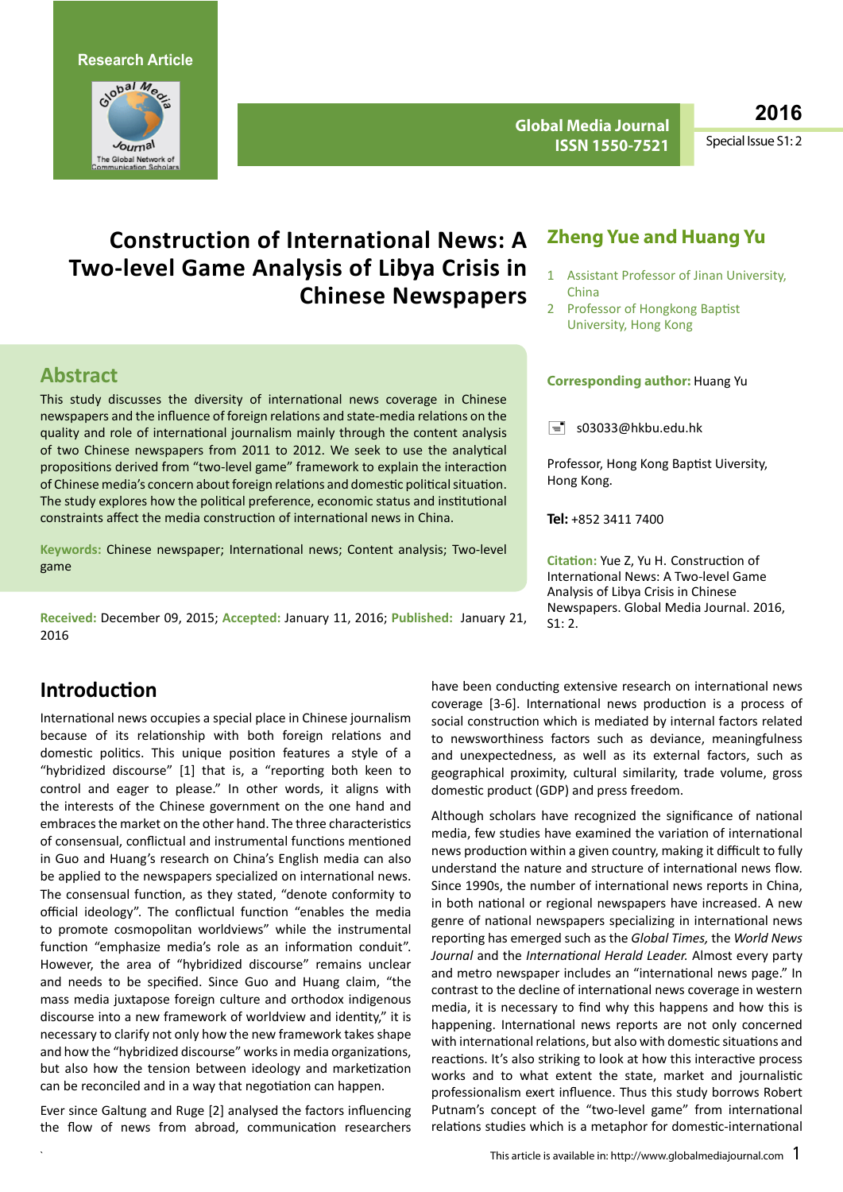

**Global Media Journal ISSN 1550-7521**

**2016**

Special Issue S1: 2

# **Construction of International News: A Two-level Game Analysis of Libya Crisis in Chinese Newspapers**

### **Abstract**

This study discusses the diversity of international news coverage in Chinese newspapers and the influence of foreign relations and state-media relations on the quality and role of international journalism mainly through the content analysis of two Chinese newspapers from 2011 to 2012. We seek to use the analytical propositions derived from "two-level game" framework to explain the interaction of Chinese media's concern about foreign relations and domestic political situation. The study explores how the political preference, economic status and institutional constraints affect the media construction of international news in China.

**Keywords:** Chinese newspaper; International news; Content analysis; Two-level game

**Received:** December 09, 2015; **Accepted:** January 11, 2016; **Published:** January 21, 2016

### **Introduction**

International news occupies a special place in Chinese journalism because of its relationship with both foreign relations and domestic politics. This unique position features a style of a "hybridized discourse" [1] that is, a "reporting both keen to control and eager to please." In other words, it aligns with the interests of the Chinese government on the one hand and embraces the market on the other hand. The three characteristics of consensual, conflictual and instrumental functions mentioned in Guo and Huang's research on China's English media can also be applied to the newspapers specialized on international news. The consensual function, as they stated, "denote conformity to official ideology". The conflictual function "enables the media to promote cosmopolitan worldviews" while the instrumental function "emphasize media's role as an information conduit". However, the area of "hybridized discourse" remains unclear and needs to be specified. Since Guo and Huang claim, "the mass media juxtapose foreign culture and orthodox indigenous discourse into a new framework of worldview and identity," it is necessary to clarify not only how the new framework takes shape and how the "hybridized discourse" works in media organizations, but also how the tension between ideology and marketization can be reconciled and in a way that negotiation can happen.

Ever since Galtung and Ruge [2] analysed the factors influencing the flow of news from abroad, communication researchers

### **Zheng Yue and Huang Yu**

- 1 Assistant Professor of Jinan University, China
- 2 Professor of Hongkong Baptist University, Hong Kong

#### **Corresponding author:** Huang Yu

 $\equiv$  [s03033@hkbu.edu.hk](mailto:s03033@hkbu.edu.hk)

Professor, Hong Kong Baptist Uiversity, Hong Kong.

**Tel:** +852 3411 7400

**Citation:** Yue Z, Yu H. Construction of International News: A Two-level Game Analysis of Libya Crisis in Chinese Newspapers. Global Media Journal. 2016,  $S1:2.$ 

have been conducting extensive research on international news coverage [3-6]. International news production is a process of social construction which is mediated by internal factors related to newsworthiness factors such as deviance, meaningfulness and unexpectedness, as well as its external factors, such as geographical proximity, cultural similarity, trade volume, gross domestic product (GDP) and press freedom.

Although scholars have recognized the significance of national media, few studies have examined the variation of international news production within a given country, making it difficult to fully understand the nature and structure of international news flow. Since 1990s, the number of international news reports in China, in both national or regional newspapers have increased. A new genre of national newspapers specializing in international news reporting has emerged such as the *Global Times,* the *World News Journal* and the *International Herald Leader.* Almost every party and metro newspaper includes an "international news page." In contrast to the decline of international news coverage in western media, it is necessary to find why this happens and how this is happening. International news reports are not only concerned with international relations, but also with domestic situations and reactions. It's also striking to look at how this interactive process works and to what extent the state, market and journalistic professionalism exert influence. Thus this study borrows Robert Putnam's concept of the "two-level game" from international relations studies which is a metaphor for domestic-international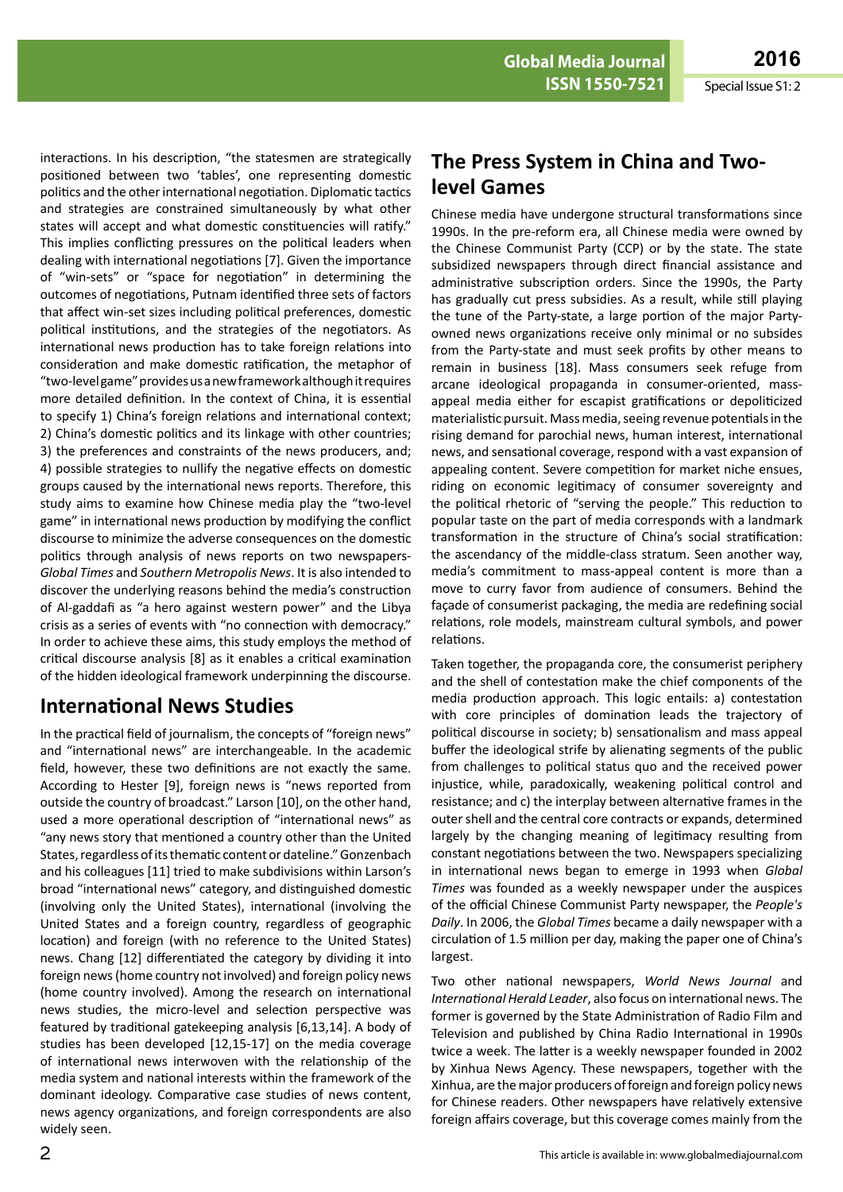interactions. In his description, "the statesmen are strategically positioned between two 'tables', one representing domestic politics and the other international negotiation. Diplomatic tactics and strategies are constrained simultaneously by what other states will accept and what domestic constituencies will ratify." This implies conflicting pressures on the political leaders when dealing with international negotiations [7]. Given the importance of "win-sets" or "space for negotiation" in determining the outcomes of negotiations, Putnam identified three sets of factors that affect win-set sizes including political preferences, domestic political institutions, and the strategies of the negotiators. As international news production has to take foreign relations into consideration and make domestic ratification, the metaphor of "two-level game" provides us a new framework although it requires more detailed definition. In the context of China, it is essential to specify 1) China's foreign relations and international context; 2) China's domestic politics and its linkage with other countries; 3) the preferences and constraints of the news producers, and; 4) possible strategies to nullify the negative effects on domestic groups caused by the international news reports. Therefore, this study aims to examine how Chinese media play the "two-level game" in international news production by modifying the conflict discourse to minimize the adverse consequences on the domestic politics through analysis of news reports on two newspapers-*Global Times* and *Southern Metropolis News*. It is also intended to discover the underlying reasons behind the media's construction of Al-gaddafi as "a hero against western power" and the Libya crisis as a series of events with "no connection with democracy." In order to achieve these aims, this study employs the method of critical discourse analysis [8] as it enables a critical examination of the hidden ideological framework underpinning the discourse.

## **International News Studies**

In the practical field of journalism, the concepts of "foreign news" and "international news" are interchangeable. In the academic field, however, these two definitions are not exactly the same. According to Hester [9], foreign news is "news reported from outside the country of broadcast." Larson [10], on the other hand, used a more operational description of "international news" as "any news story that mentioned a country other than the United States, regardless of its thematic content or dateline." Gonzenbach and his colleagues [11] tried to make subdivisions within Larson's broad "international news" category, and distinguished domestic (involving only the United States), international (involving the United States and a foreign country, regardless of geographic location) and foreign (with no reference to the United States) news. Chang [12] differentiated the category by dividing it into foreign news (home country not involved) and foreign policy news (home country involved). Among the research on international news studies, the micro-level and selection perspective was featured by traditional gatekeeping analysis [6,13,14]. A body of studies has been developed [12,15-17] on the media coverage of international news interwoven with the relationship of the media system and national interests within the framework of the dominant ideology. Comparative case studies of news content, news agency organizations, and foreign correspondents are also widely seen.

## **The Press System in China and Twolevel Games**

Chinese media have undergone structural transformations since 1990s. In the pre-reform era, all Chinese media were owned by the Chinese Communist Party (CCP) or by the state. The state subsidized newspapers through direct financial assistance and administrative subscription orders. Since the 1990s, the Party has gradually cut press subsidies. As a result, while still playing the tune of the Party-state, a large portion of the major Partyowned news organizations receive only minimal or no subsides from the Party-state and must seek profits by other means to remain in business [18]. Mass consumers seek refuge from arcane ideological propaganda in consumer-oriented, massappeal media either for escapist gratifications or depoliticized materialistic pursuit. Mass media, seeing revenue potentials in the rising demand for parochial news, human interest, international news, and sensational coverage, respond with a vast expansion of appealing content. Severe competition for market niche ensues, riding on economic legitimacy of consumer sovereignty and the political rhetoric of "serving the people." This reduction to popular taste on the part of media corresponds with a landmark transformation in the structure of China's social stratification: the ascendancy of the middle-class stratum. Seen another way, media's commitment to mass-appeal content is more than a move to curry favor from audience of consumers. Behind the façade of consumerist packaging, the media are redefining social relations, role models, mainstream cultural symbols, and power relations.

Taken together, the propaganda core, the consumerist periphery and the shell of contestation make the chief components of the media production approach. This logic entails: a) contestation with core principles of domination leads the trajectory of political discourse in society; b) sensationalism and mass appeal buffer the ideological strife by alienating segments of the public from challenges to political status quo and the received power injustice, while, paradoxically, weakening political control and resistance; and c) the interplay between alternative frames in the outer shell and the central core contracts or expands, determined largely by the changing meaning of legitimacy resulting from constant negotiations between the two. Newspapers specializing in international news began to emerge in 1993 when *Global Times* was founded as a weekly newspaper under the auspices of the official [Chinese Communist Party](http://en.wikipedia.org/wiki/Chinese_Communist_Party) newspaper, the *[People's](http://en.wikipedia.org/wiki/People%27s_Daily)  [Daily](http://en.wikipedia.org/wiki/People%27s_Daily)*. In 2006, the *Global Times* became a daily newspaper with a circulation of 1.5 million per day, making the paper one of China's largest.

Two other national newspapers, *World News Journal* and *International Herald Leader*, also focus on international news. The former is governed by the State Administration of Radio Film and Television and published by China Radio International in 1990s twice a week. The latter is a weekly newspaper founded in 2002 by Xinhua News Agency. These newspapers, together with the Xinhua, are the major producers of foreign and foreign policy news for Chinese readers. Other newspapers have relatively extensive foreign affairs coverage, but this coverage comes mainly from the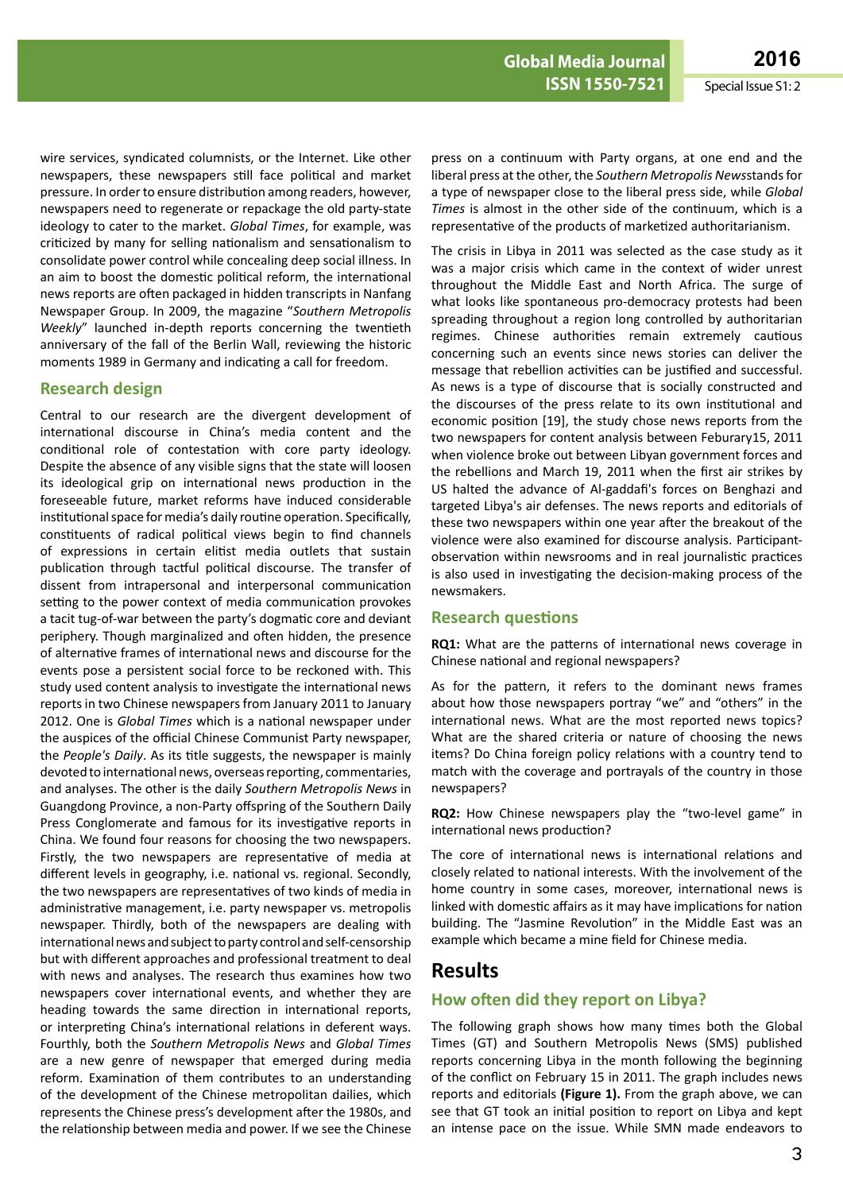**ARCHIVOS DE MEDICINA Global Media Journal 2016 ISSN 1550-7521** Special Issue S1: 2

wire services, syndicated columnists, or the Internet. Like other newspapers, these newspapers still face political and market pressure. In order to ensure distribution among readers, however, newspapers need to regenerate or repackage the old party-state ideology to cater to the market. *Global Times*, for example, was criticized by many for selling nationalism and sensationalism to consolidate power control while concealing deep social illness. In an aim to boost the domestic political reform, the international news reports are often packaged in hidden transcripts in Nanfang Newspaper Group. In 2009, the magazine "*Southern Metropolis Weekly*" launched in-depth reports concerning the twentieth anniversary of the fall of the Berlin Wall, reviewing the historic moments 1989 in Germany and indicating a call for freedom.

#### **Research design**

Central to our research are the divergent development of international discourse in China's media content and the conditional role of contestation with core party ideology. Despite the absence of any visible signs that the state will loosen its ideological grip on international news production in the foreseeable future, market reforms have induced considerable institutional space for media's daily routine operation. Specifically, constituents of radical political views begin to find channels of expressions in certain elitist media outlets that sustain publication through tactful political discourse. The transfer of dissent from intrapersonal and interpersonal communication setting to the power context of media communication provokes a tacit tug-of-war between the party's dogmatic core and deviant periphery. Though marginalized and often hidden, the presence of alternative frames of international news and discourse for the events pose a persistent social force to be reckoned with. This study used content analysis to investigate the international news reports in two Chinese newspapers from January 2011 to January 2012. One is *Global Times* which is a national newspaper under the auspices of the official Chinese Communist Party newspaper, the *People's Daily*. As its title suggests, the newspaper is mainly devoted to international news, overseas reporting, commentaries, and analyses. The other is the daily *Southern Metropolis News* in Guangdong Province, a non-Party offspring of the Southern Daily Press Conglomerate and famous for its investigative reports in China. We found four reasons for choosing the two newspapers. Firstly, the two newspapers are representative of media at different levels in geography, i.e. national vs. regional. Secondly, the two newspapers are representatives of two kinds of media in administrative management, i.e. party newspaper vs. metropolis newspaper. Thirdly, both of the newspapers are dealing with international news and subject to party control and self-censorship but with different approaches and professional treatment to deal with news and analyses. The research thus examines how two newspapers cover international events, and whether they are heading towards the same direction in international reports, or interpreting China's international relations in deferent ways. Fourthly, both the *Southern Metropolis News* and *Global Times*  are a new genre of newspaper that emerged during media reform. Examination of them contributes to an understanding of the development of the Chinese metropolitan dailies, which represents the Chinese press's development after the 1980s, and the relationship between media and power. If we see the Chinese

press on a continuum with Party organs, at one end and the liberal press at the other, the *Southern Metropolis News*stands for a type of newspaper close to the liberal press side, while *Global Times* is almost in the other side of the continuum, which is a representative of the products of marketized authoritarianism.

The crisis in Libya in 2011 was selected as the case study as it was a major crisis which came in the context of wider unrest throughout the Middle East and North Africa. The surge of what looks like spontaneous pro-democracy protests had been spreading throughout a region long controlled by authoritarian regimes. Chinese authorities remain extremely cautious concerning such an events since news stories can deliver the message that rebellion activities can be justified and successful. As news is a type of discourse that is socially constructed and the discourses of the press relate to its own institutional and economic position [19], the study chose news reports from the two newspapers for content analysis between Feburary15, 2011 when violence broke out between Libyan government forces and the rebellions and March 19, 2011 when the first air strikes by US halted the advance of Al-gaddafi's forces on Benghazi and targeted Libya's air defenses. The news reports and editorials of these two newspapers within one year after the breakout of the violence were also examined for discourse analysis. Participantobservation within newsrooms and in real journalistic practices is also used in investigating the decision-making process of the newsmakers.

#### **Research questions**

**RQ1:** What are the patterns of international news coverage in Chinese national and regional newspapers?

As for the pattern, it refers to the dominant news frames about how those newspapers portray "we" and "others" in the international news. What are the most reported news topics? What are the shared criteria or nature of choosing the news items? Do China foreign policy relations with a country tend to match with the coverage and portrayals of the country in those newspapers?

**RQ2:** How Chinese newspapers play the "two-level game" in international news production?

The core of international news is international relations and closely related to national interests. With the involvement of the home country in some cases, moreover, international news is linked with domestic affairs as it may have implications for nation building. The "Jasmine Revolution" in the Middle East was an example which became a mine field for Chinese media.

### **Results**

#### **How often did they report on Libya?**

The following graph shows how many times both the Global Times (GT) and Southern Metropolis News (SMS) published reports concerning Libya in the month following the beginning of the conflict on February 15 in 2011. The graph includes news reports and editorials **(Figure 1).** From the graph above, we can see that GT took an initial position to report on Libya and kept an intense pace on the issue. While SMN made endeavors to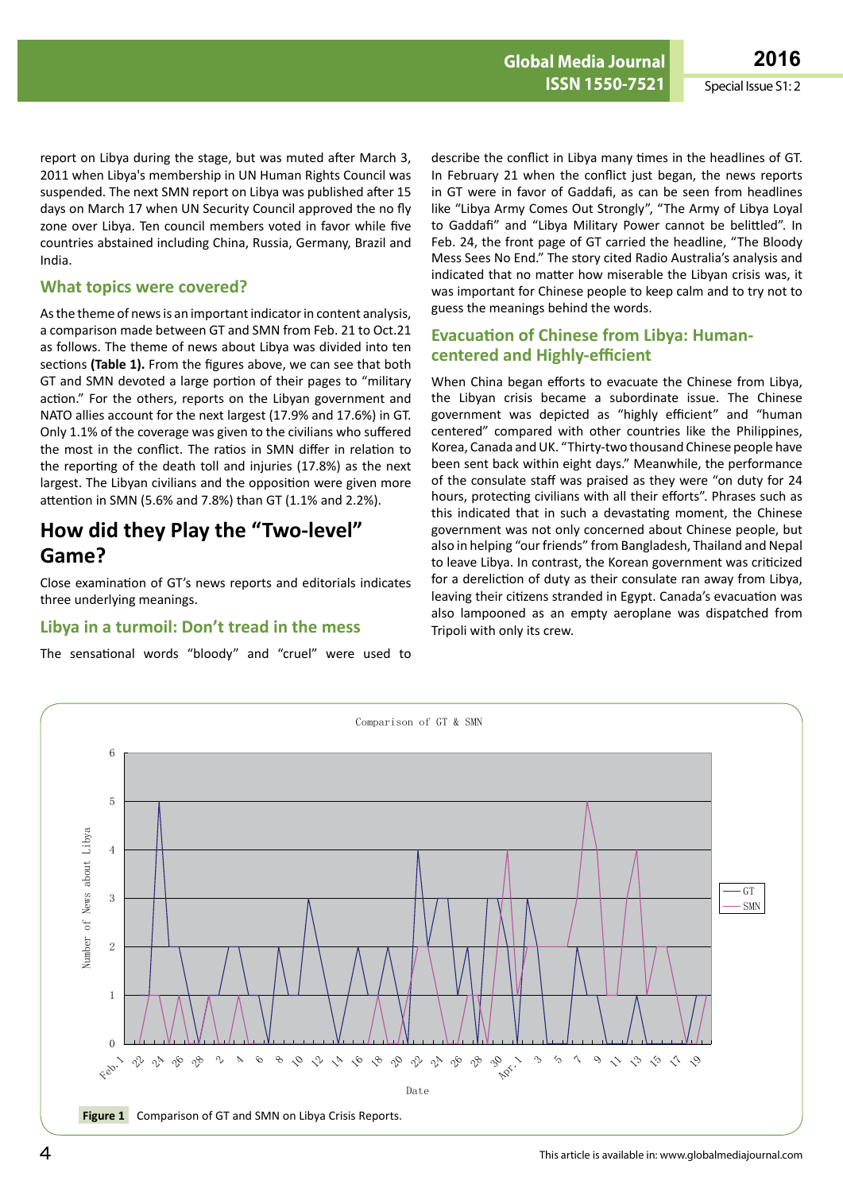report on Libya during the stage, but was muted after March 3, 2011 when Libya's membership in UN Human Rights Council was suspended. The next SMN report on Libya was published after 15 days on March 17 when UN Security Council approved the no fly zone over Libya. Ten council members voted in favor while five countries abstained including China, Russia, Germany, Brazil and India.

#### **What topics were covered?**

As the theme of news is an important indicator in content analysis, a comparison made between GT and SMN from Feb. 21 to Oct.21 as follows. The theme of news about Libya was divided into ten sections **(Table 1).** From the figures above, we can see that both GT and SMN devoted a large portion of their pages to "military action." For the others, reports on the Libyan government and NATO allies account for the next largest (17.9% and 17.6%) in GT. Only 1.1% of the coverage was given to the civilians who suffered the most in the conflict. The ratios in SMN differ in relation to the reporting of the death toll and injuries (17.8%) as the next largest. The Libyan civilians and the opposition were given more attention in SMN (5.6% and 7.8%) than GT (1.1% and 2.2%).

## **How did they Play the "Two-level" Game?**

Close examination of GT's news reports and editorials indicates three underlying meanings.

#### **Libya in a turmoil: Don't tread in the mess**

The sensational words "bloody" and "cruel" were used to

describe the conflict in Libya many times in the headlines of GT. In February 21 when the conflict just began, the news reports in GT were in favor of Gaddafi, as can be seen from headlines like "Libya Army Comes Out Strongly", "The Army of Libya Loyal to Gaddafi" and "Libya Military Power cannot be belittled". In Feb. 24, the front page of GT carried the headline, "The Bloody Mess Sees No End." The story cited Radio Australia's analysis and indicated that no matter how miserable the Libyan crisis was, it was important for Chinese people to keep calm and to try not to guess the meanings behind the words.

### **Evacuation of Chinese from Libya: Humancentered and Highly-efficient**

When China began efforts to evacuate the Chinese from Libya, the Libyan crisis became a subordinate issue. The Chinese government was depicted as "highly efficient" and "human centered" compared with other countries like the Philippines, Korea, Canada and UK. "Thirty-two thousand Chinese people have been sent back within eight days." Meanwhile, the performance of the consulate staff was praised as they were "on duty for 24 hours, protecting civilians with all their efforts". Phrases such as this indicated that in such a devastating moment, the Chinese government was not only concerned about Chinese people, but also in helping "our friends" from Bangladesh, Thailand and Nepal to leave Libya. In contrast, the Korean government was criticized for a dereliction of duty as their consulate ran away from Libya, leaving their citizens stranded in Egypt. Canada's evacuation was also lampooned as an empty aeroplane was dispatched from Tripoli with only its crew.

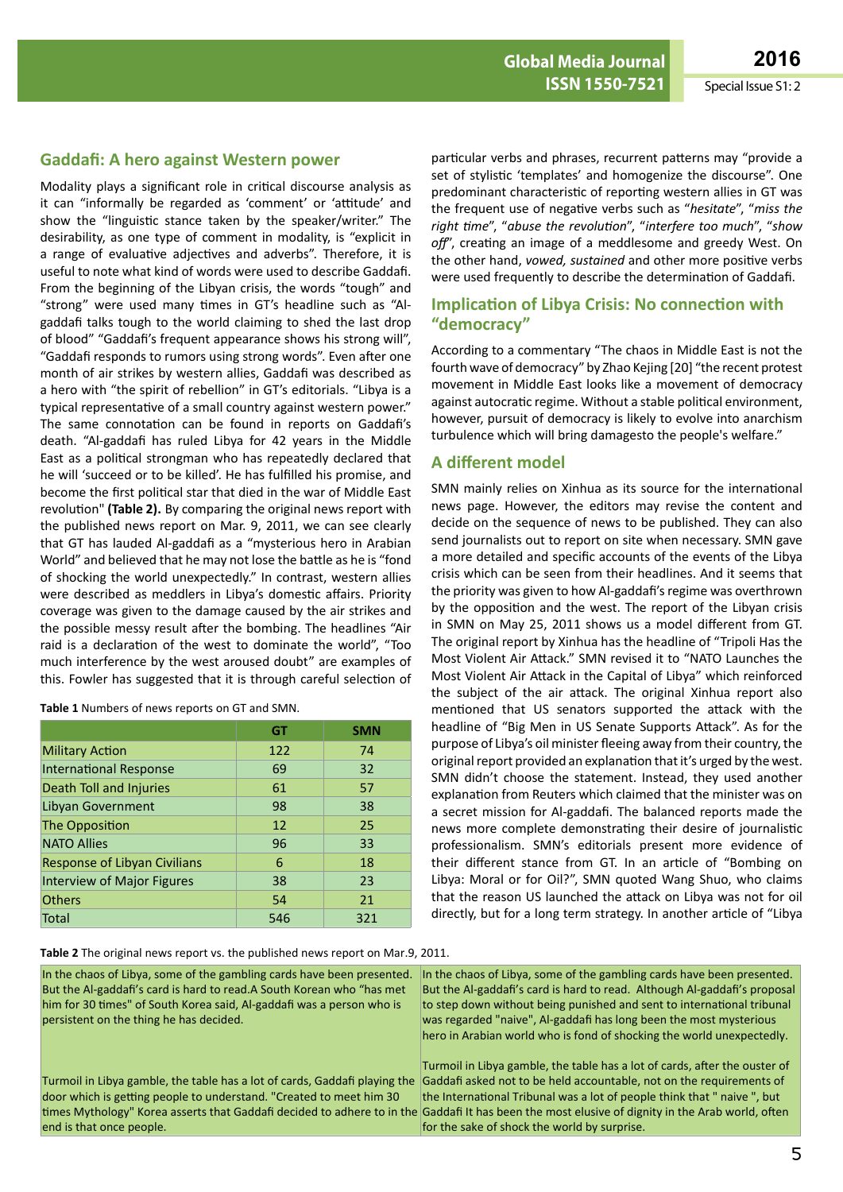#### **Gaddafi: A hero against Western power**

Modality plays a significant role in critical discourse analysis as it can "informally be regarded as 'comment' or 'attitude' and show the "linguistic stance taken by the speaker/writer." The desirability, as one type of comment in modality, is "explicit in a range of evaluative adjectives and adverbs". Therefore, it is useful to note what kind of words were used to describe Gaddafi. From the beginning of the Libyan crisis, the words "tough" and "strong" were used many times in GT's headline such as "Algaddafi talks tough to the world claiming to shed the last drop of blood" "Gaddafi's frequent appearance shows his strong will", "Gaddafi responds to rumors using strong words". Even after one month of air strikes by western allies, Gaddafi was described as a hero with "the spirit of rebellion" in GT's editorials. "Libya is a typical representative of a small country against western power." The same connotation can be found in reports on Gaddafi's death. "Al-gaddafi has ruled Libya for 42 years in the Middle East as a political strongman who has repeatedly declared that he will 'succeed or to be killed'. He has fulfilled his promise, and become the first political star that died in the war of Middle East revolution" **(Table 2).** By comparing the original news report with the published news report on Mar. 9, 2011, we can see clearly that GT has lauded Al-gaddafi as a "mysterious hero in Arabian World" and believed that he may not lose the battle as he is "fond of shocking the world unexpectedly." In contrast, western allies were described as meddlers in Libya's domestic affairs. Priority coverage was given to the damage caused by the air strikes and the possible messy result after the bombing. The headlines "Air raid is a declaration of the west to dominate the world", "Too much interference by the west aroused doubt" are examples of this. Fowler has suggested that it is through careful selection of

**Table 1** Numbers of news reports on GT and SMN.

|                                     | GТ  | <b>SMN</b> |
|-------------------------------------|-----|------------|
| <b>Military Action</b>              | 122 | 74         |
| <b>International Response</b>       | 69  | 32         |
| Death Toll and Injuries             | 61  | 57         |
| <b>Libyan Government</b>            | 98  | 38         |
| <b>The Opposition</b>               | 12  | 25         |
| <b>NATO Allies</b>                  | 96  | 33         |
| <b>Response of Libyan Civilians</b> | 6   | 18         |
| <b>Interview of Major Figures</b>   | 38  | 23         |
| <b>Others</b>                       | 54  | 21         |
| Total                               | 546 | 321        |

**Table 2** The original news report vs. the published news report on Mar.9, 2011.

In the chaos of Libya, some of the gambling cards have been presented. But the Al-gaddafi's card is hard to read.A South Korean who "has met him for 30 times" of South Korea said, Al-gaddafi was a person who is persistent on the thing he has decided.

Turmoil in Libya gamble, the table has a lot of cards, Gaddafi playing the door which is getting people to understand. "Created to meet him 30 times Mythology" Korea asserts that Gaddafi decided to adhere to in the end is that once people.

particular verbs and phrases, recurrent patterns may "provide a set of stylistic 'templates' and homogenize the discourse". One predominant characteristic of reporting western allies in GT was the frequent use of negative verbs such as "*hesitate*", "*miss the right time*", "*abuse the revolution*", "*interfere too much*", "*show off*", creating an image of a meddlesome and greedy West. On the other hand, *vowed, sustained* and other more positive verbs were used frequently to describe the determination of Gaddafi.

#### **Implication of Libya Crisis: No connection with "democracy"**

According to a commentary "The chaos in Middle East is not the fourth wave of democracy" by Zhao Kejing [20] "the recent protest movement in Middle East looks like a movement of democracy against autocratic regime. Without a stable political environment, however, pursuit of democracy is likely to evolve into anarchism turbulence which will bring damagesto the people's welfare."

#### **A different model**

SMN mainly relies on Xinhua as its source for the international news page. However, the editors may revise the content and decide on the sequence of news to be published. They can also send journalists out to report on site when necessary. SMN gave a more detailed and specific accounts of the events of the Libya crisis which can be seen from their headlines. And it seems that the priority was given to how Al-gaddafi's regime was overthrown by the opposition and the west. The report of the Libyan crisis in SMN on May 25, 2011 shows us a model different from GT. The original report by Xinhua has the headline of "Tripoli Has the Most Violent Air Attack." SMN revised it to "NATO Launches the Most Violent Air Attack in the Capital of Libya" which reinforced the subject of the air attack. The original Xinhua report also mentioned that US senators supported the attack with the headline of "Big Men in US Senate Supports Attack". As for the purpose of Libya's oil minister fleeing away from their country, the original report provided an explanation that it's urged by the west. SMN didn't choose the statement. Instead, they used another explanation from Reuters which claimed that the minister was on a secret mission for Al-gaddafi. The balanced reports made the news more complete demonstrating their desire of journalistic professionalism. SMN's editorials present more evidence of their different stance from GT. In an article of "Bombing on Libya: Moral or for Oil?", SMN quoted Wang Shuo, who claims that the reason US launched the attack on Libya was not for oil directly, but for a long term strategy. In another article of "Libya

In the chaos of Libya, some of the gambling cards have been presented. But the Al-gaddafi's card is hard to read. Although Al-gaddafi's proposal to step down without being punished and sent to international tribunal was regarded "naive", Al-gaddafi has long been the most mysterious hero in Arabian world who is fond of shocking the world unexpectedly.

Turmoil in Libya gamble, the table has a lot of cards, after the ouster of Gaddafi asked not to be held accountable, not on the requirements of the International Tribunal was a lot of people think that " naive ", but Gaddafi It has been the most elusive of dignity in the Arab world, often for the sake of shock the world by surprise.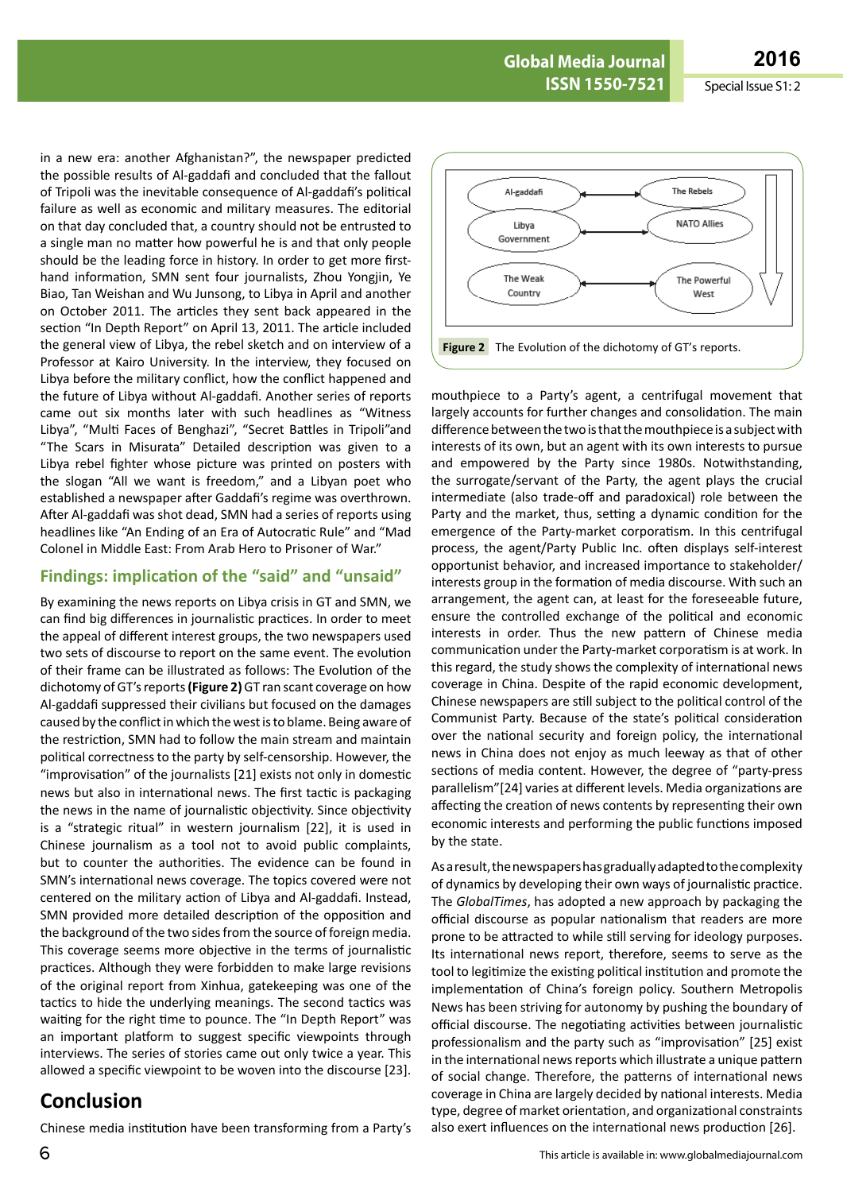**ARCHIVOS DE MEDICINA Global Media Journal 2016 ISSN 1550-7521** Special Issue S1: 2

in a new era: another Afghanistan?", the newspaper predicted the possible results of Al-gaddafi and concluded that the fallout of Tripoli was the inevitable consequence of Al-gaddafi's political failure as well as economic and military measures. The editorial on that day concluded that, a country should not be entrusted to a single man no matter how powerful he is and that only people should be the leading force in history. In order to get more firsthand information, SMN sent four journalists, Zhou Yongjin, Ye Biao, Tan Weishan and Wu Junsong, to Libya in April and another on October 2011. The articles they sent back appeared in the section "In Depth Report" on April 13, 2011. The article included the general view of Libya, the rebel sketch and on interview of a Professor at Kairo University. In the interview, they focused on Libya before the military conflict, how the conflict happened and the future of Libya without Al-gaddafi. Another series of reports came out six months later with such headlines as "Witness Libya", "Multi Faces of Benghazi", "Secret Battles in Tripoli"and "The Scars in Misurata" Detailed description was given to a Libya rebel fighter whose picture was printed on posters with the slogan "All we want is freedom," and a Libyan poet who established a newspaper after Gaddafi's regime was overthrown. After Al-gaddafi was shot dead, SMN had a series of reports using headlines like "An Ending of an Era of Autocratic Rule" and "Mad Colonel in Middle East: From Arab Hero to Prisoner of War."

#### **Findings: implication of the "said" and "unsaid"**

By examining the news reports on Libya crisis in GT and SMN, we can find big differences in journalistic practices. In order to meet the appeal of different interest groups, the two newspapers used two sets of discourse to report on the same event. The evolution of their frame can be illustrated as follows: The Evolution of the dichotomy of GT's reports **(Figure 2)** GT ran scant coverage on how Al-gaddafi suppressed their civilians but focused on the damages caused by the conflict in which the west is to blame. Being aware of the restriction, SMN had to follow the main stream and maintain political correctness to the party by self-censorship. However, the "improvisation" of the journalists [21] exists not only in domestic news but also in international news. The first tactic is packaging the news in the name of journalistic objectivity. Since objectivity is a "strategic ritual" in western journalism [22], it is used in Chinese journalism as a tool not to avoid public complaints, but to counter the authorities. The evidence can be found in SMN's international news coverage. The topics covered were not centered on the military action of Libya and Al-gaddafi. Instead, SMN provided more detailed description of the opposition and the background of the two sides from the source of foreign media. This coverage seems more objective in the terms of journalistic practices. Although they were forbidden to make large revisions of the original report from Xinhua, gatekeeping was one of the tactics to hide the underlying meanings. The second tactics was waiting for the right time to pounce. The "In Depth Report" was an important platform to suggest specific viewpoints through interviews. The series of stories came out only twice a year. This allowed a specific viewpoint to be woven into the discourse [23].

## **Conclusion**

Chinese media institution have been transforming from a Party's



mouthpiece to a Party's agent, a centrifugal movement that largely accounts for further changes and consolidation. The main difference between the two is that the mouthpiece is a subject with interests of its own, but an agent with its own interests to pursue and empowered by the Party since 1980s. Notwithstanding, the surrogate/servant of the Party, the agent plays the crucial intermediate (also trade-off and paradoxical) role between the Party and the market, thus, setting a dynamic condition for the emergence of the Party-market corporatism. In this centrifugal process, the agent/Party Public Inc. often displays self-interest opportunist behavior, and increased importance to stakeholder/ interests group in the formation of media discourse. With such an arrangement, the agent can, at least for the foreseeable future, ensure the controlled exchange of the political and economic interests in order. Thus the new pattern of Chinese media communication under the Party-market corporatism is at work. In this regard, the study shows the complexity of international news coverage in China. Despite of the rapid economic development, Chinese newspapers are still subject to the political control of the Communist Party. Because of the state's political consideration over the national security and foreign policy, the international news in China does not enjoy as much leeway as that of other sections of media content. However, the degree of "party-press parallelism"[24] varies at different levels. Media organizations are affecting the creation of news contents by representing their own economic interests and performing the public functions imposed by the state.

As a result, the newspapers has gradually adapted to the complexity of dynamics by developing their own ways of journalistic practice. The *GlobalTimes*, has adopted a new approach by packaging the official discourse as popular nationalism that readers are more prone to be attracted to while still serving for ideology purposes. Its international news report, therefore, seems to serve as the tool to legitimize the existing political institution and promote the implementation of China's foreign policy. Southern Metropolis News has been striving for autonomy by pushing the boundary of official discourse. The negotiating activities between journalistic professionalism and the party such as "improvisation" [25] exist in the international news reports which illustrate a unique pattern of social change. Therefore, the patterns of international news coverage in China are largely decided by national interests. Media type, degree of market orientation, and organizational constraints also exert influences on the international news production [26].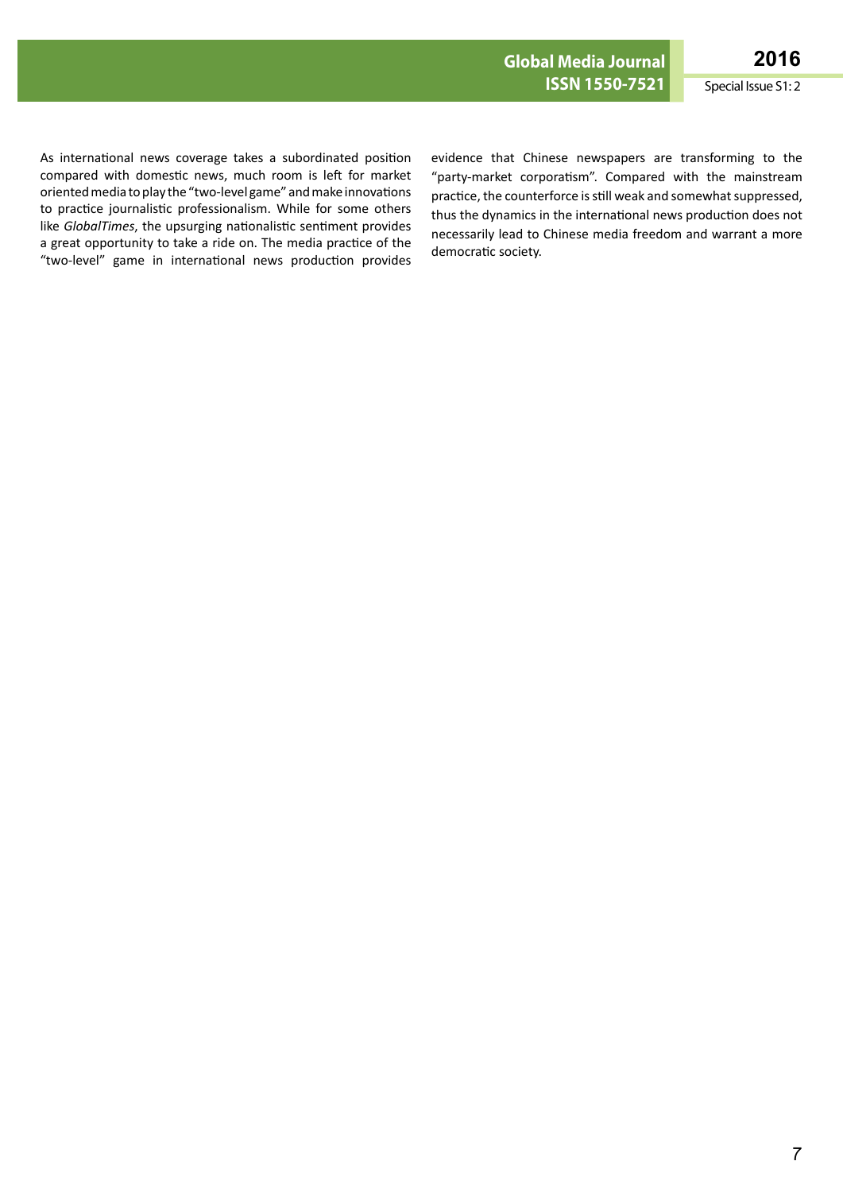**ARCHIVOS DE MEDICINA Global Media Journal 2016 ISSN 1550-7521** Special Issue S1: 2

As international news coverage takes a subordinated position compared with domestic news, much room is left for market oriented media to play the "two-level game" and make innovations to practice journalistic professionalism. While for some others like *GlobalTimes*, the upsurging nationalistic sentiment provides a great opportunity to take a ride on. The media practice of the "two-level" game in international news production provides evidence that Chinese newspapers are transforming to the "party-market corporatism". Compared with the mainstream practice, the counterforce is still weak and somewhat suppressed, thus the dynamics in the international news production does not necessarily lead to Chinese media freedom and warrant a more democratic society.